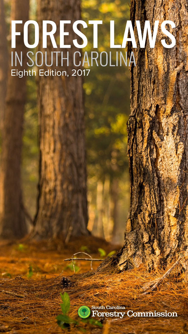# FOREST LAWS IN SOUTH CAROLINA Eighth Edition, 2017

South Carolina **Forestry Commission** 

The Normal Forest Commencer Laws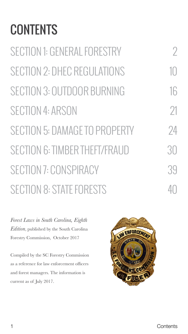# **CONTENTS**

| <b>SECTION 1: GENERAL FORESTRY</b>   | 7        |
|--------------------------------------|----------|
| <b>SECTION 2: DHEC REGULATIONS</b>   | 10       |
| SECTION 3: OUTDOOR BURNING           | 16       |
| SECTION 4: ARSON                     | $\gamma$ |
| <b>SECTION 5: DAMAGE TO PROPERTY</b> | 24       |
| SECTION 6: TIMBER THEFT/FRAUD        | 30       |
| <b>SECTION 7: CONSPIRACY</b>         | 39       |
| <b>SECTION 8: STATE FORESTS</b>      |          |

*Forest Laws in South Carolina, Eighth Edition*, published by the South Carolina Forestry Commission, October 2017

Compiled by the SC Forestry Commission as a reference for law enforcement officers and forest managers. The information is current as of July 2017.

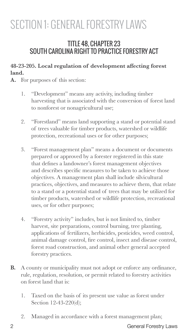# SECTION 1: GENERAL FORESTRY LAWS

### TITLE 48, CHAPTER 23 SOUTH CAROLINA RIGHT TO PRACTICE FORESTRY ACT

#### **48-23-205. Local regulation of development affecting forest land.**

- **A.** For purposes of this section:
	- 1. "Development" means any activity, including timber harvesting that is associated with the conversion of forest land to nonforest or nonagricultural use;
	- 2. "Forestland" means land supporting a stand or potential stand of trees valuable for timber products, watershed or wildlife protection, recreational uses or for other purposes;
	- 3. "Forest management plan" means a document or documents prepared or approved by a forester registered in this state that defines a landowner's forest management objectives and describes specific measures to be taken to achieve those objectives. A management plan shall include silvicultural practices, objectives, and measures to achieve them, that relate to a stand or a potential stand of trees that may be utilized for timber products, watershed or wildlife protection, recreational uses, or for other purposes;
	- 4. "Forestry activity" includes, but is not limited to, timber harvest, site preparations, control burning, tree planting, applications of fertilizers, herbicides, pesticides, weed control, animal damage control, fire control, insect and disease control, forest road construction, and animal other general accepted forestry practices.
- **B.** A county or municipality must not adopt or enforce any ordinance, rule, regulation, resolution, or permit related to forestry activities on forest land that is:
	- 1. Taxed on the basis of its present use value as forest under Section 12-43-220(d);
	- 2. Managed in accordance with a forest management plan;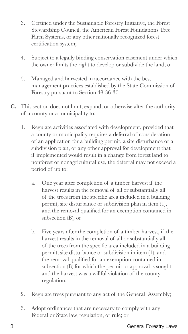- 3. Certified under the Sustainable Forestry Initiative, the Forest Stewardship Council, the American Forest Foundations Tree Farm Systems, or any other nationally recognized forest certification system;
- 4. Subject to a legally binding conservation easement under which the owner limits the right to develop or subdivide the land; or
- 5. Managed and harvested in accordance with the best management practices established by the State Commission of Forestry pursuant to Section 48-36-30.
- **C.** This section does not limit, expand, or otherwise alter the authority of a county or a municipality to:
	- 1. Regulate activities associated with development, provided that a county or municipality requires a deferral of consideration of an application for a building permit, a site disturbance or a subdivision plan, or any other approval for development that if implemented would result in a change from forest land to nonforest or nonagricultural use, the deferral may not exceed a period of up to:
		- a. One year after completion of a timber harvest if the harvest results in the removal of all or substantially all of the trees from the specific area included in a building permit, site disturbance or subdivision plan in item (1), and the removal qualified for an exemption contained in subsection (B); or
		- b. Five years after the completion of a timber harvest, if the harvest results in the removal of all or substantially all of the trees from the specific area included in a building permit, site disturbance or subdivision in item (1), and the removal qualified for an exemption contained in subsection (B) for which the permit or approval is sought and the harvest was a willful violation of the county regulation;
	- 2. Regulate trees pursuant to any act of the General Assembly;
	- 3. Adopt ordinances that are necessary to comply with any Federal or State law, regulation, or rule; or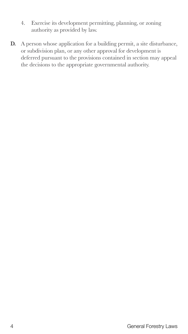- 4. Exercise its development permitting, planning, or zoning authority as provided by law.
- **D.** A person whose application for a building permit, a site disturbance, or subdivision plan, or any other approval for development is deferred pursuant to the provisions contained in section may appeal the decisions to the appropriate governmental authority.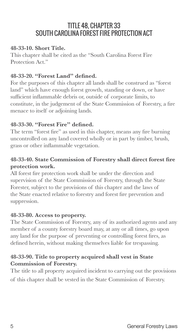### TITLE 48, CHAPTER 33 SOUTH CAROLINA FOREST FIRE PROTECTION ACT

#### **48-33-10. Short Title.**

This chapter shall be cited as the "South Carolina Forest Fire Protection Act."

#### **48-33-20. "Forest Land" defined.**

For the purposes of this chapter all lands shall be construed as "forest land" which have enough forest growth, standing or down, or have sufficient inflammable debris or, outside of corporate limits, to constitute, in the judgement of the State Commission of Forestry, a fire menace to itself or adjoining lands.

#### **48-33-30. "Forest Fire" defined.**

The term "forest fire" as used in this chapter, means any fire burning uncontrolled on any land covered wholly or in part by timber, brush, grass or other inflammable vegetation.

#### **48-33-40. State Commission of Forestry shall direct forest fire protection work.**

All forest fire protection work shall be under the direction and supervision of the State Commission of Forestry, through the State Forester, subject to the provisions of this chapter and the laws of the State enacted relative to forestry and forest fire prevention and suppression.

#### **48-33-80. Access to property.**

The State Commission of Forestry, any of its authorized agents and any member of a county forestry board may, at any or all times, go upon any land for the purpose of preventing or controlling forest fires, as defined herein, without making themselves liable for trespassing.

#### **48-33-90. Title to property acquired shall vest in State Commission of Forestry.**

The title to all property acquired incident to carrying out the provisions of this chapter shall be vested in the State Commission of Forestry.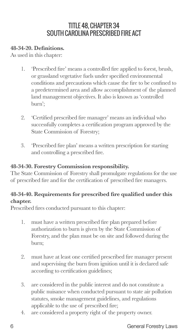### TITLE 48, CHAPTER 34 SOUTH CAROLINA PRESCRIBED FIRE ACT

#### **48-34-20. Definitions.**

As used in this chapter:

- 1. 'Prescribed fire' means a controlled fire applied to forest, brush, or grassland vegetative fuels under specified environmental conditions and precautions which cause the fire to be confined to a predetermined area and allow accomplishment of the planned land management objectives. It also is known as 'controlled burn';
- 2. 'Certified prescribed fire manager' means an individual who successfully completes a certification program approved by the State Commission of Forestry;
- 3. 'Prescribed fire plan' means a written prescription for starting and controlling a prescribed fire.

#### **48-34-30. Forestry Commission responsibility.**

The State Commission of Forestry shall promulgate regulations for the use of prescribed fire and for the certification of prescribed fire managers.

#### **48-34-40. Requirements for prescribed fire qualified under this chapter.**

Prescribed fires conducted pursuant to this chapter:

- 1. must have a written prescribed fire plan prepared before authorization to burn is given by the State Commission of Forestry, and the plan must be on site and followed during the burn;
- 2. must have at least one certified prescribed fire manager present and supervising the burn from ignition until it is declared safe according to certification guidelines;
- 3. are considered in the public interest and do not constitute a public nuisance when conducted pursuant to state air pollution statutes, smoke management guidelines, and regulations applicable to the use of prescribed fire;
- 4. are considered a property right of the property owner.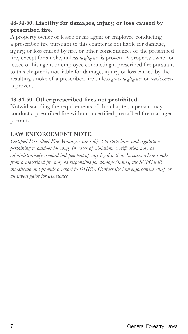#### **48-34-50. Liability for damages, injury, or loss caused by prescribed fire.**

A property owner or lessee or his agent or employee conducting a prescribed fire pursuant to this chapter is not liable for damage, injury, or loss caused by fire, or other consequences of the prescribed fire, except for smoke, unless *negligence* is proven. A property owner or lessee or his agent or employee conducting a prescribed fire pursuant to this chapter is not liable for damage, injury, or loss caused by the resulting smoke of a prescribed fire unless *gross negligence* or *recklessness* is proven.

#### **48-34-60. Other prescribed fires not prohibited.**

Notwithstanding the requirements of this chapter, a person may conduct a prescribed fire without a certified prescribed fire manager present.

#### **LAW ENFORCEMENT NOTE:**

*Certified Prescribed Fire Managers are subject to state laws and regulations pertaining to outdoor burning. In cases of violation, certification may be administratively revoked independent of any legal action. In cases where smoke from a prescribed fire may be responsible for damage/injury, the SCFC will investigate and provide a report to DHEC. Contact the law enforcement chief or an investigator for assistance.*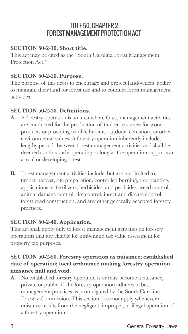### TITLE 50, CHAPTER 2 FOREST MANAGEMENT PROTECTION ACT

#### **SECTION 50-2-10. Short title.**

This act may be cited as the "South Carolina Forest Management Protection Act."

#### **SECTION 50-2-20. Purpose.**

The purpose of this act is to encourage and protect landowners' ability to maintain their land for forest use and to conduct forest management activities.

#### **SECTION 50-2-30. Definitions.**

- **A.** A forestry operation is an area where forest management activities are conducted for the production of timber resources for wood products or providing wildlife habitat, outdoor recreation, or other environmental values. A forestry operation inherently includes lengthy periods between forest management activities and shall be deemed continuously operating so long as the operation supports an actual or developing forest.
- **B.** Forest management activities include, but are not limited to, timber harvest, site preparation, controlled burning, tree planting, applications of fertilizers, herbicides, and pesticides, weed control, animal damage control, fire control, insect and disease control, forest road construction, and any other generally accepted forestry practices.

#### **SECTION 50-2-40. Application.**

This act shall apply only to forest management activities on forestry operations that are eligible for timberland use value assessment for property tax purposes.

#### **SECTION 50-2-50. Forestry operation as nuisance; established date of operation; local ordinance making forestry operation nuisance null and void.**

**A.** No established forestry operation is or may become a nuisance, private or public, if the forestry operation adheres to best management practices as promulgated by the South Carolina Forestry Commission. This section does not apply whenever a nuisance results from the negligent, improper, or illegal operation of a forestry operation.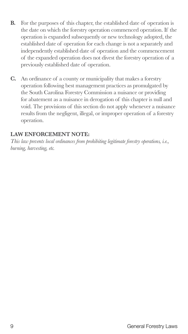- **B.** For the purposes of this chapter, the established date of operation is the date on which the forestry operation commenced operation. If the operation is expanded subsequently or new technology adopted, the established date of operation for each change is not a separately and independently established date of operation and the commencement of the expanded operation does not divest the forestry operation of a previously established date of operation.
- **C.** An ordinance of a county or municipality that makes a forestry operation following best management practices as promulgated by the South Carolina Forestry Commission a nuisance or providing for abatement as a nuisance in derogation of this chapter is null and void. The provisions of this section do not apply whenever a nuisance results from the negligent, illegal, or improper operation of a forestry operation.

#### **LAW ENFORCEMENT NOTE:**

*This law prevents local ordinances from prohibiting legitimate forestry operations, i.e., burning, harvesting, etc.*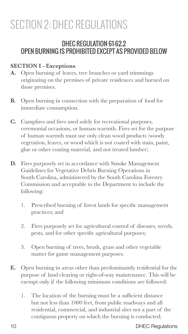# SECTION 2: DHEC REGULATIONS

### DHEC REGULATION 61-62.2 OPEN BURNING IS PROHIBITED EXCEPT AS PROVIDED BELOW

#### **SECTION I - Exceptions**

- **A.** Open burning of leaves, tree branches or yard trimmings originating on the premises of private residences and burned on those premises.
- **B.** Open burning in connection with the preparation of food for immediate consumption.
- **C.** Campfires and fires used solely for recreational purposes, ceremonial occasions, or human warmth. Fires set for the purpose of human warmth must use only clean wood products (woody vegetation, leaves, or wood which is not coated with stain, paint, glue or other coating material, and not treated lumber).
- **D.** Fires purposely set in accordance with Smoke Management Guidelines for Vegetative Debris Burning Operations in South Carolina, administered by the South Carolina Forestry Commission and acceptable to the Department to include the following:
	- 1. Prescribed burning of forest lands for specific management practices; and
	- 2. Fires purposely set for agricultural control of diseases, weeds, pests, and for other specific agricultural purposes;
	- 3. Open burning of trees, brush, grass and other vegetable matter for game management purposes.
- **E.** Open burning in areas other than predominantly residential for the purpose of land clearing or right-of-way maintenance. This will be exempt only if the following minimum conditions are followed:
	- 1. The location of the burning must be a sufficient distance but not less than 1000 feet, from public roadways and all residential, commercial, and industrial sites not a part of the contiguous property on which the burning is conducted;

10 DHEC Regulations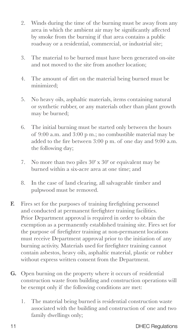- 2. Winds during the time of the burning must be away from any area in which the ambient air may be significantly affected by smoke from the burning if that area contains a public roadway or a residential, commercial, or industrial site;
- 3. The material to be burned must have been generated on-site and not moved to the site from another location;
- 4. The amount of dirt on the material being burned must be minimized;
- 5. No heavy oils, asphaltic materials, items containing natural or synthetic rubber, or any materials other than plant growth may be burned;
- 6. The initial burning must be started only between the hours of 9:00 a.m. and 3:00 p m.; no combustible material may be added to the fire between 3:00 p m. of one day and 9:00 a.m. the following day;
- 7. No more than two piles 30' x 30' or equivalent may be burned within a six-acre area at one time; and
- 8. In the case of land clearing, all salvageable timber and pulpwood must be removed.
- **F.** Fires set for the purposes of training firefighting personnel and conducted at permanent firefighter training facilities. Prior Department approval is required in order to obtain the exemption as a permanently established training site. Fires set for the purpose of firefighter training at non-permanent locations must receive Department approval prior to the initiation of any burning activity. Materials used for firefighter training cannot contain asbestos, heavy oils, asphaltic material, plastic or rubber without express written consent from the Department.
- **G.** Open burning on the property where it occurs of residential construction waste from building and construction operations will be exempt only if the following conditions are met:
	- 1. The material being burned is residential construction waste associated with the building and construction of one and two family dwellings only;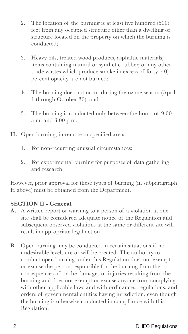- 2. The location of the burning is at least five hundred (500) feet from any occupied structure other than a dwelling or structure located on the property on which the burning is conducted;
- 3. Heavy oils, treated wood products, asphaltic materials, items containing natural or synthetic rubber, or any other trade wastes which produce smoke in excess of forty (40) percent opacity are not burned;
- 4. The burning does not occur during the ozone season (April 1 through October 30); and
- 5. The burning is conducted only between the hours of 9:00 a.m. and 3:00 p.m.;
- **H.** Open burning, in remote or specified areas:
	- 1. For non-recurring unusual circumstances;
	- 2. For experimental burning for purposes of data gathering and research.

However, prior approval for these types of burning (in subparagraph H above) must be obtained from the Department.

#### **SECTION II - General**

- **A.** A written report or warning to a person of a violation at one site shall be considered adequate notice of the Regulation and subsequent observed violations at the same or different site will result in appropriate legal action.
- **B.** Open burning may be conducted in certain situations if no undesirable levels are or will be created. The authority to conduct open burning under this Regulation does not exempt or excuse the person responsible for the burning from the consequences of or the damages or injuries resulting from the burning and does not exempt or excuse anyone from complying with other applicable laws and with ordinances, regulations, and orders of governmental entities having jurisdiction, even though the burning is otherwise conducted in compliance with this Regulation.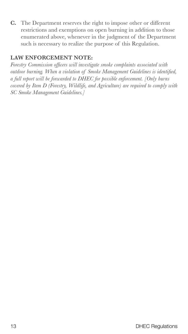**C.** The Department reserves the right to impose other or different restrictions and exemptions on open burning in addition to those enumerated above, whenever in the judgment of the Department such is necessary to realize the purpose of this Regulation.

#### **LAW ENFORCEMENT NOTE:**

*Forestry Commission officers will investigate smoke complaints associated with outdoor burning. When a violation of Smoke Management Guidelines is identified, a full report will be forwarded to DHEC for possible enforcement. [Only burns covered by Item D (Forestry, Wildlife, and Agriculture) are required to comply with SC Smoke Management Guidelines.]*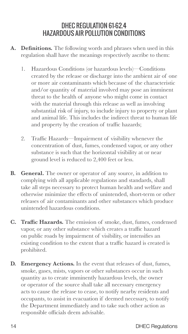### DHEC REGULATION 61-62.4 HAZARDOUS AIR POLLUTION CONDITIONS

- **A. Definitions.** The following words and phrases when used in this regulation shall have the meanings respectively ascribe to them:
	- 1. Hazardous Conditions (or hazardous levels)—Conditions created by the release or discharge into the ambient air of one or more air contaminants which because of the characteristic and/or quantity of material involved may pose an imminent threat to the health of anyone who might come in contact with the material through this release as well as involving substantial risk of injury, to include injury to property or plant and animal life. This includes the indirect threat to human life and property by the creation of traffic hazards;
	- 2. Traffic Hazards—Impairment of visibility whenever the concentration of dust, fumes, condensed vapor, or any other substance is such that the horizontal visibility at or near ground level is reduced to 2,400 feet or less.
- **B. General.** The owner or operator of any source, in addition to complying with all applicable regulations and standards, shall take all steps necessary to protect human health and welfare and otherwise minimize the effects of unintended, short-term or other releases of air contaminants and other substances which produce unintended hazardous conditions.
- **C. Traffic Hazards.** The emission of smoke, dust, fumes, condensed vapor, or any other substance which creates a traffic hazard on public roads by impairment of visibility, or intensifies an existing condition to the extent that a traffic hazard is created is prohibited.
- **D. Emergency Actions.** In the event that releases of dust, fumes, smoke, gases, mists, vapors or other substances occur in such quantity as to create imminently hazardous levels, the owner or operator of the source shall take all necessary emergency acts to cause the release to cease, to notify nearby residents and occupants, to assist in evacuation if deemed necessary, to notify the Department immediately and to take such other action as responsible officials deem advisable.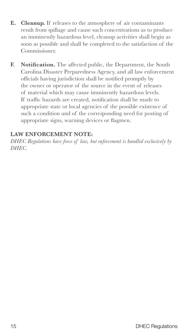- **E. Cleanup.** If releases to the atmosphere of air contaminants result from spillage and cause such concentrations as to produce an imminently hazardous level, cleanup activities shall begin as soon as possible and shall be completed to the satisfaction of the Commissioner.
- **F. Notification.** The affected public, the Department, the South Carolina Disaster Preparedness Agency, and all law enforcement officials having jurisdiction shall be notified promptly by the owner or operator of the source in the event of releases of material which may cause imminently hazardous levels. If traffic hazards are created, notification shall be made to appropriate state or local agencies of the possible existence of such a condition and of the corresponding need for posting of appropriate signs, warning devices or flagmen.

#### **LAW ENFORCEMENT NOTE:**

*DHEC Regulations have force of law, but enforcement is handled exclusively by DHEC.*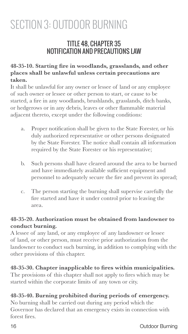# SECTION 3: OUTDOOR BURNING

### TITLE 48, CHAPTER 35 NOTIFICATION AND PRECAUTIONS LAW

#### **48-35-10. Starting fire in woodlands, grasslands, and other places shall be unlawful unless certain precautions are taken.**

It shall be unlawful for any owner or lessee of land or any employee of such owner or lessee or other person to start, or cause to be started, a fire in any woodlands, brushlands, grasslands, ditch banks, or hedgerows or in any debris, leaves or other flammable material adjacent thereto, except under the following conditions:

- a. Proper notification shall be given to the State Forester, or his duly authorized representative or other persons designated by the State Forester. The notice shall contain all information required by the State Forester or his representative;
- b. Such persons shall have cleared around the area to be burned and have immediately available sufficient equipment and personnel to adequately secure the fire and prevent its spread;
- c. The person starting the burning shall supervise carefully the fire started and have it under control prior to leaving the area.

#### **48-35-20. Authorization must be obtained from landowner to conduct burning.**

A lessee of any land, or any employee of any landowner or lessee of land, or other person, must receive prior authorization from the landowner to conduct such burning, in addition to complying with the other provisions of this chapter.

#### **48-35-30. Chapter inapplicable to fires within municipalities.**

The provisions of this chapter shall not apply to fires which may be started within the corporate limits of any town or city.

#### **48-35-40. Burning prohibited during periods of emergency.**

No burning shall be carried out during any period which the Governor has declared that an emergency exists in connection with forest fires.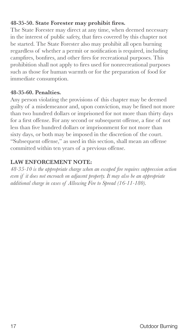#### **48-35-50. State Forester may prohibit fires.**

The State Forester may direct at any time, when deemed necessary in the interest of public safety, that fires covered by this chapter not be started. The State Forester also may prohibit all open burning regardless of whether a permit or notification is required, including campfires, bonfires, and other fires for recreational purposes. This prohibition shall not apply to fires used for nonrecreational purposes such as those for human warmth or for the preparation of food for immediate consumption.

#### **48-35-60. Penalties.**

Any person violating the provisions of this chapter may be deemed guilty of a misdemeanor and, upon conviction, may be fined not more than two hundred dollars or imprisoned for not more than thirty days for a first offense. For any second or subsequent offense, a fine of not less than five hundred dollars or imprisonment for not more than sixty days, or both may be imposed in the discretion of the court. "Subsequent offense," as used in this section, shall mean an offense committed within ten years of a previous offense.

#### **LAW ENFORCEMENT NOTE:**

*48-35-10 is the appropriate charge when an escaped fire requires suppression action even if it does not encroach on adjacent property. It may also be an appropriate additional charge in cases of Allowing Fire to Spread (16-11-180).*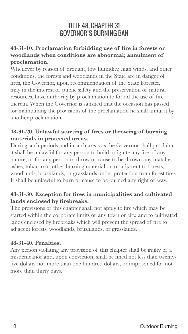### TITLE 48, CHAPTER 31 GOVERNOR'S BURNING BAN

#### **48-31-10. Proclamation forbidding use of fire in forests or woodlands when conditions are abnormal; annulment of proclamation.**

Whenever by reason of drought, low humidity, high winds, and other conditions, the forests and woodlands in the State are in danger of fires, the Governor, upon recommendation of the State Forester, may in the interest of public safety and the preservation of natural resources, have authority by proclamation to forbid the use of fire therein. When the Governor is satisfied that the occasion has passed for maintaining the provisions of the proclamation he shall annul it by another proclamation.

#### **48-31-20. Unlawful starting of fires or throwing of burning materials in protected areas.**

During such periods and in such areas as the Governor shall proclaim, it shall be unlawful for any person to build or ignite any fire of any nature, or for any person to throw or cause to be thrown any matches, ashes, tobacco or other burning material on or adjacent to forests, woodlands, brushlands, or grasslands under protection from forest fires. It shall be unlawful to burn or cause to be burned any right of way.

#### **48-31-30. Exception for fires in municipalities and cultivated lands enclosed by firebreaks.**

The provisions of this chapter shall not apply to fire which may be started within the corporate limits of any town or city, and to cultivated lands enclosed by firebreaks which will prevent the spread of fire to adjacent forests, woodlands, brushlands, or grasslands.

#### **48-31-40. Penalties.**

Any person violating any provision of this chapter shall be guilty of a misdemeanor and, upon conviction, shall be fined not less than twentyfive dollars nor more than one hundred dollars, or imprisoned for not more than thirty days.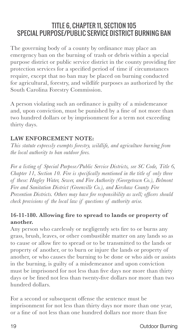### TITLE 6, CHAPTER 11, SECTION 105 SPECIAL PURPOSE/PUBLIC SERVICE DISTRICT BURNING BAN

The governing body of a county by ordinance may place an emergency ban on the burning of trash or debris within a special purpose district or public service district in the county providing fire protection services for a specified period of time if circumstances require, except that no ban may be placed on burning conducted for agricultural, forestry, and wildlife purposes as authorized by the South Carolina Forestry Commission.

A person violating such an ordinance is guilty of a misdemeanor and, upon conviction, must be punished by a fine of not more than two hundred dollars or by imprisonment for a term not exceeding thirty days.

#### **LAW ENFORCEMENT NOTE:**

*This statute expressly exempts forestry, wildlife, and agriculture burning from the local authority to ban outdoor fires.*

*For a listing of Special Purpose/Public Service Districts, see SC Code, Title 6, Chapter 11, Section 10. Fire is specifically mentioned in the title of only three of these: Hagley Water, Sewer, and Fire Authority (Georgetown Co.), Belmont Fire and Sanitation District (Greenville Co.), and Kershaw County Fire Prevention Districts. Others may have fire responsibility as well; officers should check provisions of the local law if questions of authority arise.*

#### **16-11-180. Allowing fire to spread to lands or property of another.**

Any person who carelessly or negligently sets fire to or burns any grass, brush, leaves, or other combustible matter on any lands so as to cause or allow fire to spread or to be transmitted to the lands or property of another, or to burn or injure the lands or property of another, or who causes the burning to be done or who aids or assists in the burning, is guilty of a misdemeanor and upon conviction must be imprisoned for not less than five days nor more than thirty days or be fined not less than twenty-five dollars nor more than two hundred dollars.

For a second or subsequent offense the sentence must be imprisonment for not less than thirty days nor more than one year, or a fine of not less than one hundred dollars nor more than five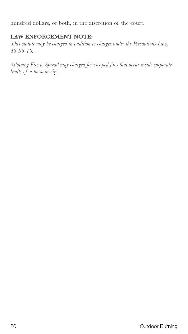hundred dollars, or both, in the discretion of the court.

#### **LAW ENFORCEMENT NOTE:**

*This statute may be charged in addition to charges under the Precautions Law, 48-35-10.*

*Allowing Fire to Spread may charged for escaped fires that occur inside corporate limits of a town or city.*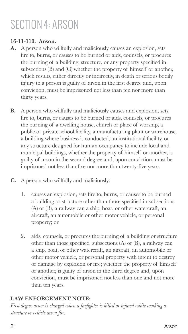# SECTION 4: ARSON

#### **16-11-110. Arson.**

- **A.** A person who willfully and maliciously causes an explosion, sets fire to, burns, or causes to be burned or aids, counsels, or procures the burning of a building, structure, or any property specified in subsections (B) and (C) whether the property of himself or another, which results, either directly or indirectly, in death or serious bodily injury to a person is guilty of arson in the first degree and, upon conviction, must be imprisoned not less than ten nor more than thirty years.
- **B.** A person who willfully and maliciously causes and explosion, sets fire to, burns, or causes to be burned or aids, counsels, or procures the burning of a dwelling house, church or place of worship, a public or private school facility, a manufacturing plant or warehouse, a building where business is conducted, an institutional facility, or any structure designed for human occupancy to include local and municipal buildings, whether the property of himself or another, is guilty of arson in the second degree and, upon conviction, must be imprisoned not less than five nor more than twenty-five years.
- **C.** A person who willfully and maliciously:
	- 1. causes an explosion, sets fire to, burns, or causes to be burned a building or structure other than those specified in subsections (A) or (B), a railway car, a ship, boat, or other watercraft, an aircraft, an automobile or other motor vehicle, or personal property; or
	- 2. aids, counsels, or procures the burning of a building or structure other than those specified subsections (A) or (B), a railway car, a ship, boat, or other watercraft, an aircraft, an automobile or other motor vehicle, or personal property with intent to destroy or damage by explosion or fire; whether the property of himself or another, is guilty of arson in the third degree and, upon conviction, must be imprisoned not less than one and not more than ten years.

#### **LAW ENFORCEMENT NOTE:**

*First degree arson is charged when a firefighter is killed or injured while working a structure or vehicle arson fire.*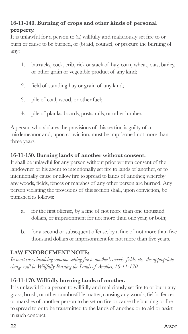#### **16-11-140. Burning of crops and other kinds of personal property.**

It is unlawful for a person to (a) willfully and maliciously set fire to or burn or cause to be burned, or (b) aid, counsel, or procure the burning of any:

- 1. barracks, cock, crib, rick or stack of hay, corn, wheat, oats, barley, or other grain or vegetable product of any kind;
- 2. field of standing hay or grain of any kind;
- 3. pile of coal, wood, or other fuel;
- 4. pile of planks, boards, posts, rails, or other lumber.

A person who violates the provisions of this section is guilty of a misdemeanor and, upon conviction, must be imprisoned not more than three years.

#### **16-11-150. Burning lands of another without consent.**

It shall be unlawful for any person without prior written consent of the landowner or his agent to intentionally set fire to lands of another, or to intentionally cause or allow fire to spread to lands of another, whereby any woods, fields, fences or marshes of any other person are burned. Any person violating the provisions of this section shall, upon conviction, be punished as follows:

- a. for the first offense, by a fine of not more than one thousand dollars, or imprisonment for not more than one year, or both;
- b. for a second or subsequent offense, by a fine of not more than five thousand dollars or imprisonment for not more than five years.

#### **LAW ENFORCEMENT NOTE:**

*In most cases involving someone setting fire to another's woods, fields, etc., the appropriate charge will be Willfully Burning the Lands of Another, 16-11-170.*

#### **16-11-170. Willfully burning lands of another.**

It is unlawful for a person to willfully and maliciously set fire to or burn any grass, brush, or other combustible matter, causing any woods, fields, fences, or marshes of another person to be set on fire or cause the burning or fire to spread to or to be transmitted to the lands of another, or to aid or assist in such conduct.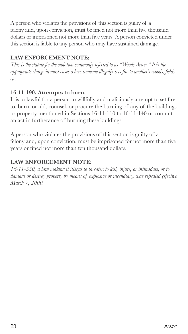A person who violates the provisions of this section is guilty of a felony and, upon conviction, must be fined not more than five thousand dollars or imprisoned not more than five years. A person convicted under this section is liable to any person who may have sustained damage.

#### **LAW ENFORCEMENT NOTE:**

*This is the statute for the violation commonly referred to as "Woods Arson." It is the appropriate charge in most cases where someone illegally sets fire to another's woods, fields, etc.*

#### **16-11-190. Attempts to burn.**

It is unlawful for a person to willfully and maliciously attempt to set fire to, burn, or aid, counsel, or procure the burning of any of the buildings or property mentioned in Sections 16-11-110 to 16-11-140 or commit an act in furtherance of burning these buildings.

A person who violates the provisions of this section is guilty of a felony and, upon conviction, must be imprisoned for not more than five years or fined not more than ten thousand dollars.

#### **LAW ENFORCEMENT NOTE:**

*16-11-550, a law making it illegal to threaten to kill, injure, or intimidate, or to damage or destroy property by means of explosive or incendiary, was repealed effective March 7, 2000.*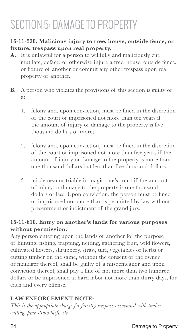# SECTION 5: DAMAGE TO PROPERTY

#### **16-11-520. Malicious injury to tree, house, outside fence, or fixture; trespass upon real property.**

- **A.** It is unlawful for a person to willfully and maliciously cut, mutilate, deface, or otherwise injure a tree, house, outside fence, or fixture of another or commit any other trespass upon real property of another.
- **B.** A person who violates the provisions of this section is guilty of a:
	- 1. felony and, upon conviction, must be fined in the discretion of the court or imprisoned not more than ten years if the amount of injury or damage to the property is five thousand dollars or more;
	- 2. felony and, upon conviction, must be fined in the discretion of the court or imprisoned not more than five years if the amount of injury or damage to the property is more than one thousand dollars but less than five thousand dollars;
	- 3. misdemeanor triable in magistrate's court if the amount of injury or damage to the property is one thousand dollars or less. Upon conviction, the person must be fined or imprisoned not more than is permitted by law without presentment or indictment of the grand jury.

#### **16-11-610. Entry on another's lands for various purposes without permission.**

Any person entering upon the lands of another for the purpose of hunting, fishing, trapping, netting, gathering fruit, wild flowers, cultivated flowers, shrubbery, straw, turf, vegetables or herbs or cutting timber on the same, without the consent of the owner or manager thereof, shall be guilty of a misdemeanor and upon conviction thereof, shall pay a fine of not more than two hundred dollars or be imprisoned at hard labor not more than thirty days, for each and every offense.

#### **LAW ENFORCEMENT NOTE:**

*This is the appropriate charge for forestry trespass associated with timber cutting, pine straw theft, etc.*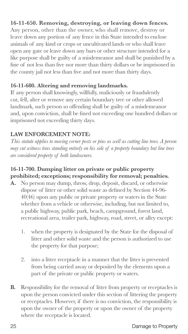#### **16-11-650. Removing, destroying, or leaving down fences.**

Any person, other than the owner, who shall remove, destroy or leave down any portion of any fence in this State intended to enclose animals of any kind or crops or uncultivated lands or who shall leave open any gate or leave down any bars or other structure intended for a like purpose shall be guilty of a misdemeanor and shall be punished by a fine of not less than five nor more than thirty dollars or be imprisoned in the county jail not less than five and not more than thirty days.

#### **16-11-680. Altering and removing landmarks.**

If any person shall knowingly, willfully, maliciously or fraudulently cut, fell, alter or remove any certain boundary tree or other allowed landmark, such person so offending shall be guilty of a misdemeanor and, upon conviction, shall be fined not exceeding one hundred dollars or imprisoned not exceeding thirty days.

#### **LAW ENFORCEMENT NOTE:**

*This statute applies to moving corner posts or pins as well as cutting line trees. A person may cut witness trees standing entirely on his side of a property boundary but line trees are considered property of both landowners.*

#### **16-11-700. Dumping litter on private or public property prohibited; exceptions; responsibility for removal; penalties.**

- **A.** No person may dump, throw, drop, deposit, discard, or otherwise dispose of litter or other solid waste as defined by Section 44-96- 40(46) upon any public or private property or waters in the State whether from a vehicle or otherwise, including, but not limited to, a public highway, public park, beach, campground, forest land, recreational area, trailer park, highway, road, street, or alley except:
	- 1. when the property is designated by the State for the disposal of litter and other solid waste and the person is authorized to use the property for that purpose;
	- 2. into a litter receptacle in a manner that the litter is prevented from being carried away or deposited by the elements upon a part of the private or public property or waters.
- **B.** Responsibility for the removal of litter from property or receptacles is upon the person convicted under this section of littering the property or receptacles. However, if there is no conviction, the responsibility is upon the owner of the property or upon the owner of the property where the receptacle is located.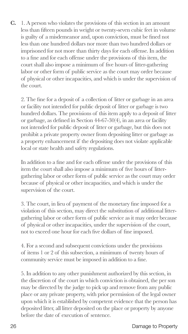**C.** 1. A person who violates the provisions of this section in an amount less than fifteen pounds in weight or twenty-seven cubic feet in volume is guilty of a misdemeanor and, upon conviction, must be fined not less than one hundred dollars nor more than two hundred dollars or imprisoned for not more than thirty days for each offense. In addition to a fine and for each offense under the provisions of this item, the court shall also impose a minimum of five hours of litter-gathering labor or other form of public service as the court may order because of physical or other incapacities, and which is under the supervision of the court.

2. The fine for a deposit of a collection of litter or garbage in an area or facility not intended for public deposit of litter or garbage is two hundred dollars. The provisions of this item apply to a deposit of litter or garbage, as defined in Section 44-67-30(4), in an area or facility not intended for public deposit of litter or garbage, but this does not prohibit a private property owner from depositing litter or garbage as a property enhancement if the depositing does not violate applicable local or state health and safety regulations.

In addition to a fine and for each offense under the provisions of this item the court shall also impose a minimum of five hours of littergathering labor or other form of public service as the court may order because of physical or other incapacities, and which is under the supervision of the court.

3. The court, in lieu of payment of the monetary fine imposed for a violation of this section, may direct the substitution of additional littergathering labor or other form of public service as it may order because of physical or other incapacities, under the supervision of the court, not to exceed one hour for each five dollars of fine imposed.

4. For a second and subsequent convictions under the provisions of items 1 or 2 of this subsection, a minimum of twenty hours of community service must be imposed in addition to a fine.

5. In addition to any other punishment authorized by this section, in the discretion of the court in which conviction is obtained, the per son may be directed by the judge to pick up and remove from any public place or any private property, with prior permission of the legal owner upon which it is established by competent evidence that the person has deposited litter, all litter deposited on the place or property by anyone before the date of execution of sentence.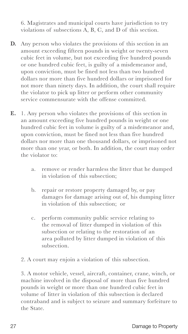6. Magistrates and municipal courts have jurisdiction to try violations of subsections A, B, C, and D of this section.

- **D.** Any person who violates the provisions of this section in an amount exceeding fifteen pounds in weight or twenty-seven cubic feet in volume, but not exceeding five hundred pounds or one hundred cubic feet, is guilty of a misdemeanor and, upon conviction, must be fined not less than two hundred dollars nor more than five hundred dollars or imprisoned for not more than ninety days. In addition, the court shall require the violator to pick up litter or perform other community service commensurate with the offense committed.
- **E.** 1. Any person who violates the provisions of this section in an amount exceeding five hundred pounds in weight or one hundred cubic feet in volume is guilty of a misdemeanor and, upon conviction, must be fined not less than five hundred dollars nor more than one thousand dollars, or imprisoned not more than one year, or both. In addition, the court may order the violator to:
	- a. remove or render harmless the litter that he dumped in violation of this subsection;
	- b. repair or restore property damaged by, or pay damages for damage arising out of, his dumping litter in violation of this subsection; or
	- c. perform community public service relating to the removal of litter dumped in violation of this subsection or relating to the restoration of an area polluted by litter dumped in violation of this subsection.
	- 2. A court may enjoin a violation of this subsection.

3. A motor vehicle, vessel, aircraft, container, crane, winch, or machine involved in the disposal of more than five hundred pounds in weight or more than one hundred cubic feet in volume of litter in violation of this subsection is declared contraband and is subject to seizure and summary forfeiture to the State.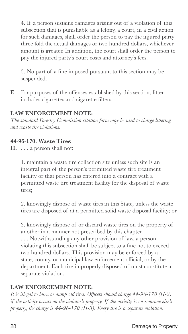4. If a person sustains damages arising out of a violation of this subsection that is punishable as a felony, a court, in a civil action for such damages, shall order the person to pay the injured party three fold the actual damages or two hundred dollars, whichever amount is greater. In addition, the court shall order the person to pay the injured party's court costs and attorney's fees.

5. No part of a fine imposed pursuant to this section may be suspended.

**F.** For purposes of the offenses established by this section, litter includes cigarettes and cigarette filters.

#### **LAW ENFORCEMENT NOTE:**

*The standard Forestry Commission citation form may be used to charge littering and waste tire violations.*

#### **44-96-170. Waste Tires**

**H.** . . . a person shall not:

1. maintain a waste tire collection site unless such site is an integral part of the person's permitted waste tire treatment facility or that person has entered into a contract with a permitted waste tire treatment facility for the disposal of waste tires;

2. knowingly dispose of waste tires in this State, unless the waste tires are disposed of at a permitted solid waste disposal facility; or

3. knowingly dispose of or discard waste tires on the property of another in a manner not prescribed by this chapter. . . . Notwithstanding any other provision of law, a person

violating this subsection shall be subject to a fine not to exceed two hundred dollars. This provision may be enforced by a state, county, or municipal law enforcement official, or by the department. Each tire improperly disposed of must constitute a separate violation.

#### **LAW ENFORCEMENT NOTE:**

*It is illegal to burn or dump old tires. Officers should charge 44-96-170 (H-2) if the activity occurs on the violator's property. If the activity is on someone else's property, the charge is 44-96-170 (H-3). Every tire is a separate violation.*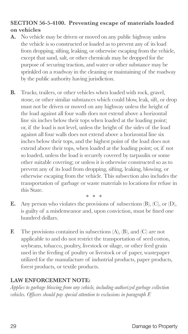#### **SECTION 56-5-4100. Preventing escape of materials loaded on vehicles**

- **A.** No vehicle may be driven or moved on any public highway unless the vehicle is so constructed or loaded as to prevent any of its load from dropping, sifting, leaking, or otherwise escaping from the vehicle, except that sand, salt, or other chemicals may be dropped for the purpose of securing traction, and water or other substance may be sprinkled on a roadway in the cleaning or maintaining of the roadway by the public authority having jurisdiction.
- **B.** Trucks, trailers, or other vehicles when loaded with rock, gravel, stone, or other similar substances which could blow, leak, sift, or drop must not be driven or moved on any highway unless the height of the load against all four walls does not extend above a horizontal line six inches below their tops when loaded at the loading point; or, if the load is not level, unless the height of the sides of the load against all four walls does not extend above a horizontal line six inches below their tops, and the highest point of the load does not extend above their tops, when loaded at the loading point; or, if not so loaded, unless the load is securely covered by tarpaulin or some other suitable covering; or unless it is otherwise constructed so as to prevent any of its load from dropping, sifting, leaking, blowing, or otherwise escaping from the vehicle. This subsection also includes the transportation of garbage or waste materials to locations for refuse in this State.

\* \* \*

- **E.** Any person who violates the provisions of subsections (B), (C), or (D), is guilty of a misdemeanor and, upon conviction, must be fined one hundred dollars.
- **F.** The provisions contained in subsections (A), (B), and (C) are not applicable to and do not restrict the transportation of seed cotton, soybeans, tobacco, poultry, livestock or silage, or other feed grain used in the feeding of poultry or livestock or of paper, wastepaper utilized for the manufacture of industrial products, paper products, forest products, or textile products.

#### **LAW ENFORCEMENT NOTE:**

*Applies to garbage blowing from any vehicle, including authorized garbage collection vehicles. Officers should pay special attention to exclusions in paragraph F.*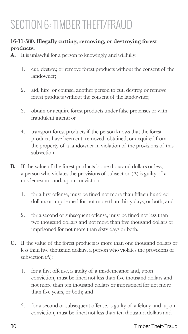# SECTION 6: TIMBER THEFT/FRAUD

#### **16-11-580. Illegally cutting, removing, or destroying forest products.**

- **A.** It is unlawful for a person to knowingly and willfully:
	- 1. cut, destroy, or remove forest products without the consent of the landowner;
	- 2. aid, hire, or counsel another person to cut, destroy, or remove forest products without the consent of the landowner;
	- 3. obtain or acquire forest products under false pretenses or with fraudulent intent; or
	- 4. transport forest products if the person knows that the forest products have been cut, removed, obtained, or acquired from the property of a landowner in violation of the provisions of this subsection.
- **B.** If the value of the forest products is one thousand dollars or less, a person who violates the provisions of subsection (A) is guilty of a misdemeanor and, upon conviction:
	- 1. for a first offense, must be fined not more than fifteen hundred dollars or imprisoned for not more than thirty days, or both; and
	- 2. for a second or subsequent offense, must be fined not less than two thousand dollars and not more than five thousand dollars or imprisoned for not more than sixty days or both.
- **C.** If the value of the forest products is more than one thousand dollars or less than five thousand dollars, a person who violates the provisions of subsection (A):
	- 1. for a first offense, is guilty of a misdemeanor and, upon conviction, must be fined not less than five thousand dollars and not more than ten thousand dollars or imprisoned for not more than five years, or both; and
	- 2. for a second or subsequent offense, is guilty of a felony and, upon conviction, must be fined not less than ten thousand dollars and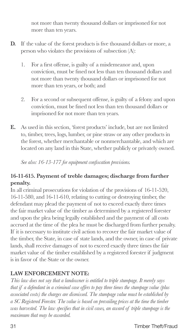not more than twenty thousand dollars or imprisoned for not more than ten years.

- **D.** If the value of the forest products is five thousand dollars or more, a person who violates the provisions of subsection (A):
	- 1. For a first offense, is guilty of a misdemeanor and, upon conviction, must be fined not less than ten thousand dollars and not more than twenty thousand dollars or imprisoned for not more than ten years, or both; and
	- 2. For a second or subsequent offense, is guilty of a felony and upon conviction, must be fined not less than ten thousand dollars or imprisoned for not more than ten years.
- **E.** As used in this section, 'forest products' include, but are not limited to, timber, trees, logs, lumber, or pine straw or any other products in the forest, whether merchantable or nonmerchantable, and which are located on any land in this State, whether publicly or privately owned.

*See also: 16-13-177 for equipment confiscation provisions.*

#### **16-11-615. Payment of treble damages; discharge from further penalty.**

In all criminal prosecutions for violation of the provisions of 16-11-520, 16-11-580, and 16-11-610, relating to cutting or destroying timber, the defendant may plead the payment of not to exceed exactly three times the fair market value of the timber as determined by a registered forester and upon the plea being legally established and the payment of all costs accrued at the time of the plea he must be discharged from further penalty. If it is necessary to institute civil action to recover the fair market value of the timber, the State, in case of state lands, and the owner, in case of private lands, shall receive damages of not to exceed exactly three times the fair market value of the timber established by a registered forester if judgment is in favor of the State or the owner.

#### **LAW ENFORCEMENT NOTE:**

*This law does not say that a landowner is entitled to triple stumpage. It merely says that if a defendant in a criminal case offers to pay three times the stumpage value (plus associated costs) the charges are dismissed. The stumpage value must be established by a SC Registered Forester. The value is based on prevailing prices at the time the timber was harvested. The law specifies that in civil cases, an award of triple stumpage is the maximum that may be awarded.*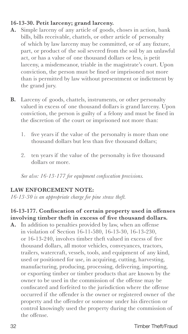#### **16-13-30. Petit larceny; grand larceny.**

- **A.** Simple larceny of any article of goods, choses in action, bank bills, bills receivable, chattels, or other article of personalty of which by law larceny may be committed, or of any fixture, part, or product of the soil severed from the soil by an unlawful act, or has a value of one thousand dollars or less, is petit larceny, a misdemeanor, triable in the magistrate's court. Upon conviction, the person must be fined or imprisoned not more than is permitted by law without presentment or indictment by the grand jury.
- **B.** Larceny of goods, chattels, instruments, or other personalty valued in excess of one thousand dollars is grand larceny. Upon conviction, the person is guilty of a felony and must be fined in the discretion of the court or imprisoned not more than:
	- 1. five years if the value of the personalty is more than one thousand dollars but less than five thousand dollars;
	- 2. ten years if the value of the personalty is five thousand dollars or more.

*See also: 16-13-177 for equipment confiscation provisions.*

#### **LAW ENFORCEMENT NOTE:**

*16-13-30 is an appropriate charge for pine straw theft.*

#### **16-13-177. Confiscation of certain property used in offenses involving timber theft in excess of five thousand dollars.**

**A.** In addition to penalties provided by law, when an offense in violation of Section 16-11-580, 16-13-30, 16-13-230, or 16-13-240, involves timber theft valued in excess of five thousand dollars, all motor vehicles, conveyances, tractors, trailers, watercraft, vessels, tools, and equipment of any kind, used or positioned for use, in acquiring, cutting, harvesting, manufacturing, producing, processing, delivering, importing, or exporting timber or timber products that are known by the owner to be used in the commission of the offense may be confiscated and forfeited to the jurisdiction where the offense occurred if the offender is the owner or registered owner of the property and the offender or someone under his direction or control knowingly used the property during the commission of the offense.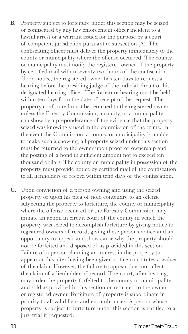- **B.** Property subject to forfeiture under this section may be seized or confiscated by any law enforcement officer incident to a lawful arrest or a warrant issued for the purpose by a court of competent jurisdiction pursuant to subsection (A). The confiscating officer must deliver the property immediately to the county or municipality where the offense occurred. The county or municipality must notify the registered owner of the property by certified mail within seventy-two hours of the confiscation. Upon notice, the registered owner has ten days to request a hearing before the presiding judge of the judicial circuit or his designated hearing officer. The forfeiture hearing must be held within ten days from the date of receipt of the request. The property confiscated must be returned to the registered owner unless the Forestry Commission, a county, or a municipality can show by a preponderance of the evidence that the property seized was knowingly used in the commission of the crime. In the event the Commission, a county, or municipality is unable to make such a showing, all property seized under this section must be returned to the owner upon proof of ownership and the posting of a bond in sufficient amount not to exceed ten thousand dollars. The county or municipality in possession of the property must provide notice by certified mail of the confiscation to all lienholders of record within tend days of the confiscation.
- **C.** Upon conviction of a person owning and using the seized property or upon his plea of nolo contendre to an offense subjecting the property to forfeiture, the county or municipality where the offense occurred or the Forestry Commission may initiate an action in circuit court of the county in which the property was seized to accomplish forfeiture by giving notice to registered owners of record, giving these persons notice and an opportunity to appear and show cause why the property should not be forfeited and disposed of as provided in this section. Failure of a person claiming an interest in the property to appear at this after having been given notice constitutes a waiver of the claim. However, the failure to appear does not affect the claim of a lienholder of record. The court, after hearing, may order the property forfeited to the county or municipality and sold as provided in this section or returned to the owner or registered owner. Forfeiture of property is subordinate in priority to all valid liens and encumbrances. A person whose property is subject to forfeiture under this section is entitled to a jury trial if requested.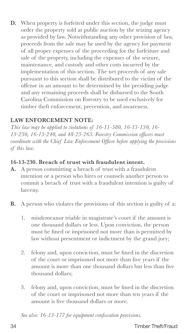**D.** When property is forfeited under this section, the judge must order the property sold at public auction by the seizing agency as provided by law. Notwithstanding any other provision of law, proceeds from the sale may be used by the agency for payment of all proper expenses of the proceeding for the forfeiture and sale of the property, including the expenses of the seizure, maintenance, and custody and other costs incurred by the implementation of this section. The net proceeds of any sale pursuant to this section shall be distributed to the victim of the offense in an amount to be determined by the presiding judge and any remaining proceeds shall be disbursed to the South Carolina Commission on Forestry to be used exclusively for timber theft enforcement, prevention, and awareness.

#### **LAW ENFORCEMENT NOTE:**

*This law may be applied to violations of 16-11-580, 16-13-130, 16- 13-230, 16-13-240, and 48-23-265. Forestry Commission officers must coordinate with the Chief Law Enforcement Officer before applying the provisions of this law.*

#### **16-13-230. Breach of trust with fraudulent intent.**

- **A.** A person committing a breach of trust with a fraudulent intention or a person who hires or counsels another person to commit a breach of trust with a fraudulent intention is guilty of larceny.
- **B.** A person who violates the provisions of this section is guilty of a:
	- 1. misdemeanor triable in magistrate's court if the amount is one thousand dollars or less. Upon conviction, the person must be fined or imprisoned not more than is permitted by law without presentment or indictment by the grand jury;
	- 2. felony and, upon conviction, must be fined in the discretion of the court or imprisoned not more than five years if the amount is more than one thousand dollars but less than five thousand dollars;
	- 3. felony and, upon conviction, must be fined in the discretion of the court or imprisoned not more than ten years if the amount is five thousand dollars or more.

*See also: 16-13-177 for equipment confiscation provisions.*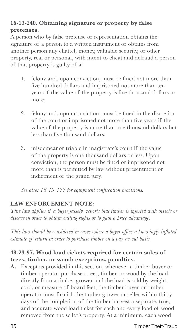#### **16-13-240. Obtaining signature or property by false pretenses.**

A person who by false pretense or representation obtains the signature of a person to a written instrument or obtains from another person any chattel, money, valuable security, or other property, real or personal, with intent to cheat and defraud a person of that property is guilty of a:

- 1. felony and, upon conviction, must be fined not more than five hundred dollars and imprisoned not more than ten years if the value of the property is five thousand dollars or more;
- 2. felony and, upon conviction, must be fined in the discretion of the court or imprisoned not more than five years if the value of the property is more than one thousand dollars but less than five thousand dollars;
- 3. misdemeanor triable in magistrate's court if the value of the property is one thousand dollars or less. Upon conviction, the person must be fined or imprisoned not more than is permitted by law without presentment or indictment of the grand jury.

*See also: 16-13-177 for equipment confiscation provisions.*

#### **LAW ENFORCEMENT NOTE:**

*This law applies if a buyer falsely reports that timber is infested with insects or disease in order to obtain cutting rights or to gain a price advantage.*

*This law should be considered in cases where a buyer offers a knowingly inflated estimate of return in order to purchase timber on a pay-as-cut basis.*

#### **48-23-97. Wood load tickets required for certain sales of trees, timber, or wood; exceptions, penalties.**

**A.** Except as provided in this section, whenever a timber buyer or timber operator purchases trees, timber, or wood by the load directly from a timber grower and the load is sold by weight, cord, or measure of board feet, the timber buyer or timber operator must furnish the timber grower or seller within thirty days of the completion of the timber harvest a separate, true, and accurate wood load ticket for each and every load of wood removed from the seller's property. At a minimum, each wood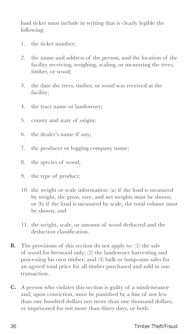load ticket must include in writing that is clearly legible the following:

- 1. the ticket number;
- 2. the name and address of the person, and the location of the facility receiving, weighing, scaling, or measuring the trees, timber, or wood;
- 3. the date the trees, timber, or wood was received at the facility;
- 4. the tract name or landowner;
- 5. county and state of origin;
- 6. the dealer's name if any;
- 7. the producer or logging company name;
- 8. the species of wood;
- 9. the type of product;
- 10. the weight or scale information: (a) if the load is measured by weight, the gross, tare, and net weights must be shown; or (b) if the load is measured by scale, the total volume must be shown; and
- 11. the weight, scale, or amount of wood deducted and the deduction classification.
- **B.** The provisions of this section do not apply to: (1) the sale of wood for firewood only; (2) the landowner harvesting and processing his own timber; and (3) bulk or lump-sum sales for an agreed total price for all timber purchased and sold in one transaction.
- **C.** A person who violates this section is guilty of a misdemeanor and, upon conviction, must be punished by a fine of not less than one hundred dollars nor more than one thousand dollars, or imprisoned for not more than thirty days, or both.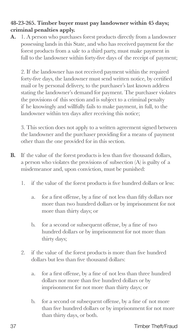#### **48-23-265. Timber buyer must pay landowner within 45 days; criminal penalties apply.**

**A.** 1. A person who purchases forest products directly from a landowner possessing lands in this State, and who has received payment for the forest products from a sale to a third party, must make payment in full to the landowner within forty-five days of the receipt of payment;

2. If the landowner has not received payment within the required forty-five days, the landowner must send written notice, by certified mail or by personal delivery, to the purchaser's last known address stating the landowner's demand for payment. The purchaser violates the provisions of this section and is subject to a criminal penalty if he knowingly and willfully fails to make payment, in full, to the landowner within ten days after receiving this notice;

3. This section does not apply to a written agreement signed between the landowner and the purchaser providing for a means of payment other than the one provided for in this section.

- **B.** If the value of the forest products is less than five thousand dollars, a person who violates the provisions of subsection (A) is guilty of a misdemeanor and, upon conviction, must be punished:
	- 1. if the value of the forest products is five hundred dollars or less:
		- a. for a first offense, by a fine of not less than fifty dollars nor more than two hundred dollars or by imprisonment for not more than thirty days; or
		- b. for a second or subsequent offense, by a fine of two hundred dollars or by imprisonment for not more than thirty days;
	- 2. if the value of the forest products is more than five hundred dollars but less than five thousand dollars:
		- a. for a first offense, by a fine of not less than three hundred dollars nor more than five hundred dollars or by imprisonment for not more than thirty days; or
		- b. for a second or subsequent offense, by a fine of not more than five hundred dollars or by imprisonment for not more than thirty days, or both.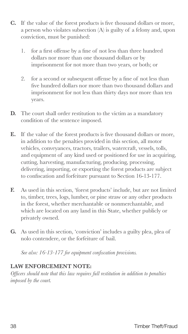- **C.** If the value of the forest products is five thousand dollars or more, a person who violates subsection (A) is guilty of a felony and, upon conviction, must be punished:
	- 1. for a first offense by a fine of not less than three hundred dollars nor more than one thousand dollars or by imprisonment for not more than two years, or both; or
	- 2. for a second or subsequent offense by a fine of not less than five hundred dollars nor more than two thousand dollars and imprisonment for not less than thirty days nor more than ten years.
- **D.** The court shall order restitution to the victim as a mandatory condition of the sentence imposed.
- **E.** If the value of the forest products is five thousand dollars or more, in addition to the penalties provided in this section, all motor vehicles, conveyances, tractors, trailers, watercraft, vessels, tolls, and equipment of any kind used or positioned for use in acquiring, cutting, harvesting, manufacturing, producing, processing, delivering, importing, or exporting the forest products are subject to confiscation and forfeiture pursuant to Section 16-13-177.
- **F.** As used in this section, 'forest products' include, but are not limited to, timber, trees, logs, lumber, or pine straw or any other products in the forest, whether merchantable or nonmerchantable, and which are located on any land in this State, whether publicly or privately owned.
- **G.** As used in this section, 'conviction' includes a guilty plea, plea of nolo contendere, or the forfeiture of bail.

*See also: 16-13-177 for equipment confiscation provisions.*

#### **LAW ENFORCEMENT NOTE:**

*Officers should note that this law requires full restitution in addition to penalties imposed by the court.*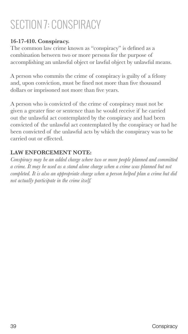# SECTION 7: CONSPIRACY

#### **16-17-410. Conspiracy.**

The common law crime known as "conspiracy" is defined as a combination between two or more persons for the purpose of accomplishing an unlawful object or lawful object by unlawful means.

A person who commits the crime of conspiracy is guilty of a felony and, upon conviction, must be fined not more than five thousand dollars or imprisoned not more than five years.

A person who is convicted of the crime of conspiracy must not be given a greater fine or sentence than he would receive if he carried out the unlawful act contemplated by the conspiracy and had been convicted of the unlawful act contemplated by the conspiracy or had he been convicted of the unlawful acts by which the conspiracy was to be carried out or effected.

#### **LAW ENFORCEMENT NOTE:**

*Conspiracy may be an added charge where two or more people planned and committed a crime. It may be used as a stand alone charge when a crime was planned but not completed. It is also an appropriate charge when a person helped plan a crime but did not actually participate in the crime itself.*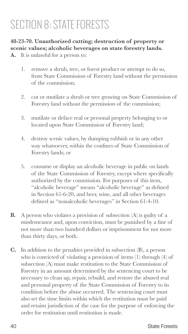# SECTION 8: STATE FORESTS

**48-23-70. Unauthorized cutting; destruction of property or scenic values; alcoholic beverages on state forestry lands. A.** It is unlawful for a person to:

- 1. remove a shrub, tree, or forest product or attempt to do so, from State Commission of Forestry land without the permission of the commission;
- 2. cut or mutilate a shrub or tree growing on State Commission of Forestry land without the permission of the commission;
- 3. mutilate or deface real or personal property belonging to or located upon State Commission of Forestry land;
- 4. destroy scenic values, by dumping rubbish or in any other way whatsoever, within the confines of State Commission of Forestry lands; or
- 5. consume or display an alcoholic beverage in public on lands of the State Commission of Forestry, except where specifically authorized by the commission. For purposes of this item, "alcoholic beverage" means "alcoholic beverage" as defined in Section 61-6-20, and beer, wine, and all other beverages defined as "nonalcoholic beverages" in Section 61-4-10.
- **B.** A person who violates a provision of subsection (A) is guilty of a misdemeanor and, upon conviction, must be punished by a fine of not more than two hundred dollars or imprisonment for not more than thirty days, or both.
- **C.** In addition to the penalties provided in subsection (B), a person who is convicted of violating a provision of items (1) through (4) of subsection (A) must make restitution to the State Commission of Forestry in an amount determined by the sentencing court to be necessary to clean up, repair, rebuild, and restore the abused real and personal property of the State Commission of Forestry to its condition before the abuse occurred. The sentencing court must also set the time limits within which the restitution must be paid and retains jurisdiction of the case for the purpose of enforcing the order for restitution until restitution is made.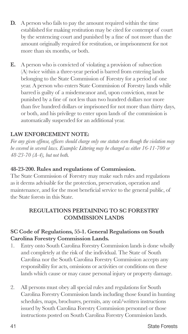- **D.** A person who fails to pay the amount required within the time established for making restitution may be cited for contempt of court by the sentencing court and punished by a fine of not more than the amount originally required for restitution, or imprisonment for not more than six months, or both.
- **E.** A person who is convicted of violating a provision of subsection (A) twice within a three-year period is barred from entering lands belonging to the State Commission of Forestry for a period of one year. A person who enters State Commission of Forestry lands while barred is guilty of a misdemeanor and, upon conviction, must be punished by a fine of not less than two hundred dollars nor more than five hundred dollars or imprisoned for not more than thirty days, or both, and his privilege to enter upon lands of the commission is automatically suspended for an additional year.

#### **LAW ENFORCEMENT NOTE:**

*For any given offense, officers should charge only one statute even though the violation may be covered in several laws. Example: Littering may be charged as either 16-11-700 or 48-23-70 (A-4), but not both.*

#### **48-23-200. Rules and regulations of Commission.**

The State Commission of Forestry may make such rules and regulations as it deems advisable for the protection, preservation, operation and maintenance, and for the most beneficial service to the general public, of the State forests in this State.

#### **REGULATIONS PERTAINING TO SC FORESTRY COMMISSION LANDS**

#### **SC Code of Regulations, 55-1. General Regulations on South Carolina Forestry Commission Lands.**

- 1. Entry onto South Carolina Forestry Commission lands is done wholly and completely at the risk of the individual. The State of South Carolina nor the South Carolina Forestry Commission accepts any responsibility for acts, omissions or activities or conditions on these lands which cause or may cause personal injury or property damage.
- 2. All persons must obey all special rules and regulations for South Carolina Forestry Commission lands including those found in hunting schedules, maps, brochures, permits, any oral/written instructions issued by South Carolina Forestry Commission personnel or those instructions posted on South Carolina Forestry Commission lands.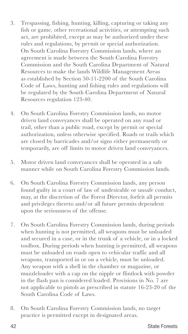- 3. Trespassing, fishing, hunting, killing, capturing or taking any fish or game, other recreational activities, or attempting such act, are prohibited, except as may be authorized under these rules and regulations, by permit or special authorization. On South Carolina Forestry Commission lands, where an agreement is made between the South Carolina Forestry Commission and the South Carolina Department of Natural Resources to make the lands Wildlife Management Areas as established by Section 50-11-2200 of the South Carolina Code of Laws, hunting and fishing rules and regulations will be regulated by the South Carolina Department of Natural Resources regulation 123-40.
- 4. On South Carolina Forestry Commission lands, no motor driven land conveyances shall be operated on any road or trail, other than a public road, except by permit or special authorization, unless otherwise specified. Roads or trails which are closed by barricades and/or signs either permanently or temporarily, are off limits to motor driven land conveyances.
- 5. Motor driven land conveyances shall be operated in a safe manner while on South Carolina Forestry Commission lands.
- 6. On South Carolina Forestry Commission lands, any person found guilty in a court of law of undesirable or unsafe conduct, may, at the discretion of the Forest Director, forfeit all permits and privileges thereto and/or all future permits dependent upon the seriousness of the offense.
- 7. On South Carolina Forestry Commission lands, during periods when hunting is not permitted, all weapons must be unloaded and secured in a case, or in the trunk of a vehicle, or in a locked toolbox. During periods when hunting is permitted, all weapons must be unloaded on roads open to vehicular traffic and all weapons, transported in or on a vehicle, must be unloaded. Any weapon with a shell in the chamber or magazine, or muzzleloader with a cap on the nipple or flintlock with powder in the flash pan is considered loaded. Provisions in No. 7 are not applicable to pistols as prescribed in statute 16-23-20 of the South Carolina Code of Laws.
- 8. On South Carolina Forestry Commission lands, no target practice is permitted except in designated areas.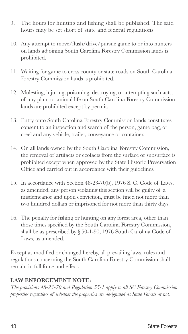- 9. The hours for hunting and fishing shall be published. The said hours may be set short of state and federal regulations.
- 10. Any attempt to move/flush/drive/pursue game to or into hunters on lands adjoining South Carolina Forestry Commission lands is prohibited.
- 11. Waiting for game to cross county or state roads on South Carolina Forestry Commission lands is prohibited.
- 12. Molesting, injuring, poisoning, destroying, or attempting such acts, of any plant or animal life on South Carolina Forestry Commission lands are prohibited except by permit.
- 13. Entry onto South Carolina Forestry Commission lands constitutes consent to an inspection and search of the person, game bag, or creel and any vehicle, trailer, conveyance or container.
- 14. On all lands owned by the South Carolina Forestry Commission, the removal of artifacts or ecofacts from the surface or subsurface is prohibited except when approved by the State Historic Preservation Office and carried out in accordance with their guidelines.
- 15. In accordance with Section 48-23-70(b), 1976 S. C. Code of Laws, as amended, any person violating this section will be guilty of a misdemeanor and upon conviction, must be fined not more than two hundred dollars or imprisoned for not more than thirty days.
- 16. The penalty for fishing or hunting on any forest area, other than those times specified by the South Carolina Forestry Commission, shall be as prescribed by § 50-1-90, 1976 South Carolina Code of Laws, as amended.

Except as modified or changed hereby, all prevailing laws, rules and regulations concerning the South Carolina Forestry Commission shall remain in full force and effect.

#### **LAW ENFORCEMENT NOTE:**

*The provisions 48-23-70 and Regulation 55-1 apply to all SC Forestry Commission properties regardless of whether the properties are designated as State Forests or not.*